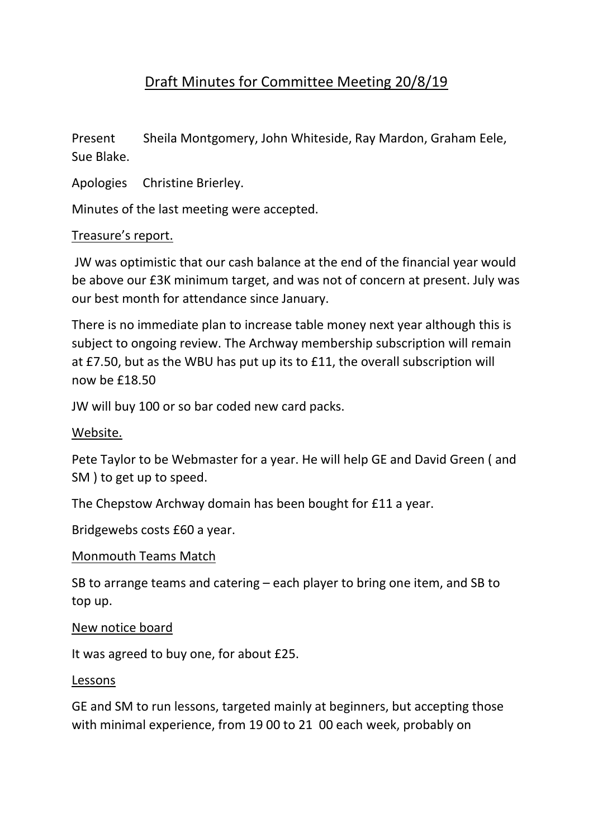# Draft Minutes for Committee Meeting 20/8/19

Present Sheila Montgomery, John Whiteside, Ray Mardon, Graham Eele, Sue Blake.

Apologies Christine Brierley.

Minutes of the last meeting were accepted.

#### Treasure's report.

JW was optimistic that our cash balance at the end of the financial year would be above our £3K minimum target, and was not of concern at present. July was our best month for attendance since January.

There is no immediate plan to increase table money next year although this is subject to ongoing review. The Archway membership subscription will remain at £7.50, but as the WBU has put up its to £11, the overall subscription will now be £18.50

JW will buy 100 or so bar coded new card packs.

## Website.

Pete Taylor to be Webmaster for a year. He will help GE and David Green ( and SM ) to get up to speed.

The Chepstow Archway domain has been bought for £11 a year.

Bridgewebs costs £60 a year.

#### Monmouth Teams Match

SB to arrange teams and catering – each player to bring one item, and SB to top up.

#### New notice board

It was agreed to buy one, for about £25.

#### Lessons

GE and SM to run lessons, targeted mainly at beginners, but accepting those with minimal experience, from 19 00 to 21 00 each week, probably on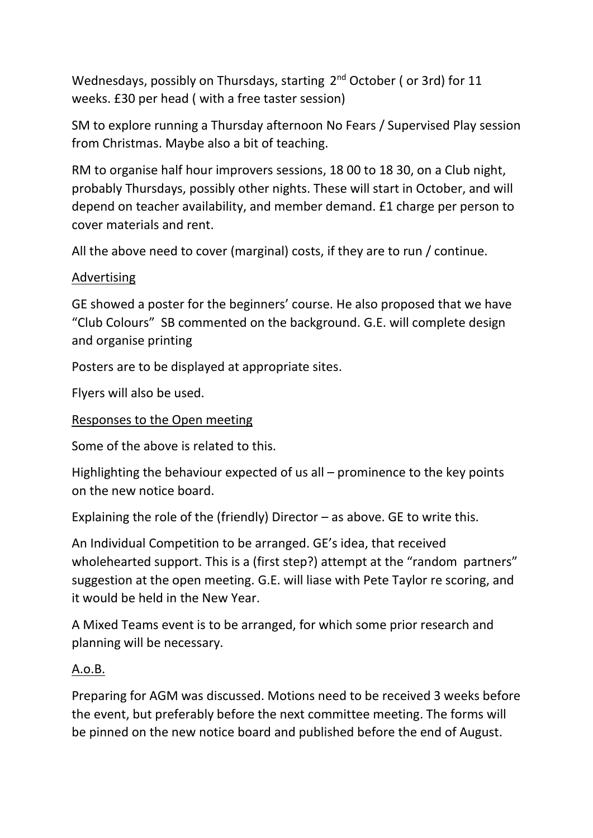Wednesdays, possibly on Thursdays, starting 2<sup>nd</sup> October (or 3rd) for 11 weeks. £30 per head ( with a free taster session)

SM to explore running a Thursday afternoon No Fears / Supervised Play session from Christmas. Maybe also a bit of teaching.

RM to organise half hour improvers sessions, 18 00 to 18 30, on a Club night, probably Thursdays, possibly other nights. These will start in October, and will depend on teacher availability, and member demand. £1 charge per person to cover materials and rent.

All the above need to cover (marginal) costs, if they are to run / continue.

## Advertising

GE showed a poster for the beginners' course. He also proposed that we have "Club Colours" SB commented on the background. G.E. will complete design and organise printing

Posters are to be displayed at appropriate sites.

Flyers will also be used.

## Responses to the Open meeting

Some of the above is related to this.

Highlighting the behaviour expected of us all – prominence to the key points on the new notice board.

Explaining the role of the (friendly) Director – as above. GE to write this.

An Individual Competition to be arranged. GE's idea, that received wholehearted support. This is a (first step?) attempt at the "random partners" suggestion at the open meeting. G.E. will liase with Pete Taylor re scoring, and it would be held in the New Year.

A Mixed Teams event is to be arranged, for which some prior research and planning will be necessary.

## A.o.B.

Preparing for AGM was discussed. Motions need to be received 3 weeks before the event, but preferably before the next committee meeting. The forms will be pinned on the new notice board and published before the end of August.